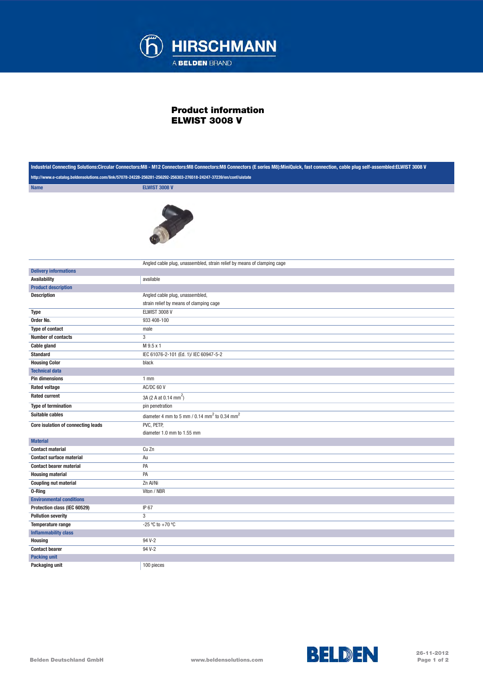

## Product information ELWIST 3008 V

| Industrial Connecting Solutions:Circular Connectors:M8 - M12 Connectors:M8 Connectors:M8 Connectors (E series M8):MiniQuick, fast connection, cable plug self-assembled:ELWIST 3008 V |                                                                          |
|---------------------------------------------------------------------------------------------------------------------------------------------------------------------------------------|--------------------------------------------------------------------------|
| http://www.e-catalog.beldensolutions.com/link/57078-24228-256281-256292-256303-276518-24247-37239/en/conf/uistate                                                                     |                                                                          |
| <b>Name</b>                                                                                                                                                                           | <b>ELWIST 3008 V</b>                                                     |
|                                                                                                                                                                                       |                                                                          |
|                                                                                                                                                                                       | Angled cable plug, unassembled, strain relief by means of clamping cage  |
| <b>Delivery informations</b>                                                                                                                                                          |                                                                          |
| <b>Availability</b>                                                                                                                                                                   | available                                                                |
| <b>Product description</b>                                                                                                                                                            |                                                                          |
| <b>Description</b>                                                                                                                                                                    | Angled cable plug, unassembled,                                          |
|                                                                                                                                                                                       | strain relief by means of clamping cage                                  |
| <b>Type</b>                                                                                                                                                                           | ELWIST 3008 V                                                            |
| Order No.                                                                                                                                                                             | 933 408-100                                                              |
| Type of contact                                                                                                                                                                       | male                                                                     |
| <b>Number of contacts</b>                                                                                                                                                             | 3                                                                        |
| <b>Cable gland</b>                                                                                                                                                                    | M 9.5 x 1                                                                |
| <b>Standard</b>                                                                                                                                                                       | IEC 61076-2-101 (Ed. 1)/ IEC 60947-5-2                                   |
| <b>Housing Color</b>                                                                                                                                                                  | black                                                                    |
| <b>Technical data</b>                                                                                                                                                                 |                                                                          |
| <b>Pin dimensions</b>                                                                                                                                                                 | $1$ mm                                                                   |
| <b>Rated voltage</b>                                                                                                                                                                  | AC/DC 60 V                                                               |
| <b>Rated current</b>                                                                                                                                                                  | 3A (2 A at 0.14 mm <sup>2</sup> )                                        |
| <b>Type of termination</b>                                                                                                                                                            | pin penetration                                                          |
| <b>Suitable cables</b>                                                                                                                                                                | diameter 4 mm to 5 mm / $0.14 \overline{mm}^2$ to $0.34 \overline{mm}^2$ |
| Core isulation of connecting leads                                                                                                                                                    | PVC, PETP,<br>diameter 1.0 mm to 1.55 mm                                 |
| <b>Material</b>                                                                                                                                                                       |                                                                          |
| <b>Contact material</b>                                                                                                                                                               | Cu Zn                                                                    |
| <b>Contact surface material</b>                                                                                                                                                       | Au                                                                       |
| <b>Contact bearer material</b>                                                                                                                                                        | PA                                                                       |
| <b>Housing material</b>                                                                                                                                                               | PA                                                                       |
| <b>Coupling nut material</b>                                                                                                                                                          | Zn Al/Ni                                                                 |
| 0-Ring                                                                                                                                                                                | Viton / NBR                                                              |
| <b>Environmental conditions</b>                                                                                                                                                       |                                                                          |
| Protection class (IEC 60529)                                                                                                                                                          | IP 67                                                                    |
| <b>Pollution severity</b>                                                                                                                                                             | $\mathbf 3$                                                              |
| Temperature range                                                                                                                                                                     | -25 °C to +70 °C                                                         |
| <b>Inflammability class</b>                                                                                                                                                           |                                                                          |
| <b>Housing</b>                                                                                                                                                                        | 94 V-2                                                                   |
| <b>Contact bearer</b>                                                                                                                                                                 | 94 V-2                                                                   |
| <b>Packing unit</b>                                                                                                                                                                   |                                                                          |
| Packaging unit                                                                                                                                                                        | 100 pieces                                                               |